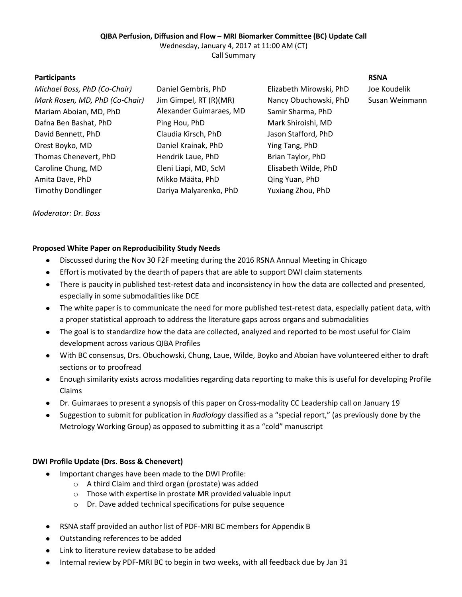## **QIBA Perfusion, Diffusion and Flow – MRI Biomarker Committee (BC) Update Call**

Wednesday, January 4, 2017 at 11:00 AM (CT) Call Summary

**Participants RSNA**

*Michael Boss, PhD (Co-Chair)* Daniel Gembris, PhD Elizabeth Mirowski, PhD Joe Koudelik *Mark Rosen, MD, PhD (Co-Chair)* Jim Gimpel, RT (R)(MR) Nancy Obuchowski, PhD Susan Weinmann Mariam Aboian, MD, PhD Alexander Guimaraes, MD Dafna Ben Bashat, PhD Ping Hou, PhD Mark Shiroishi, MD David Bennett, PhD Claudia Kirsch, PhD Jason Stafford, PhD Orest Boyko, MD Daniel Krainak, PhD Ying Tang, PhD Thomas Chenevert, PhD Hendrik Laue, PhD Brian Taylor, PhD Caroline Chung, MD Eleni Liapi, MD, ScM Elisabeth Wilde, PhD Amita Dave, PhD Mikko Määta, PhD Qing Yuan, PhD Timothy Dondlinger Dariya Malyarenko, PhD Yuxiang Zhou, PhD

Ping Hou, PhD

Samir Sharma, PhD

## *Moderator: Dr. Boss*

# **Proposed White Paper on Reproducibility Study Needs**

- $\bullet$ Discussed during the Nov 30 F2F meeting during the 2016 RSNA Annual Meeting in Chicago
- Effort is motivated by the dearth of papers that are able to support DWI claim statements
- $\bullet$ There is paucity in published test-retest data and inconsistency in how the data are collected and presented, especially in some submodalities like DCE
- The white paper is to communicate the need for more published test-retest data, especially patient data, with  $\bullet$ a proper statistical approach to address the literature gaps across organs and submodalities
- The goal is to standardize how the data are collected, analyzed and reported to be most useful for Claim  $\bullet$ development across various QIBA Profiles
- With BC consensus, Drs. Obuchowski, Chung, Laue, Wilde, Boyko and Aboian have volunteered either to draft sections or to proofread
- Enough similarity exists across modalities regarding data reporting to make this is useful for developing Profile Claims
- Dr. Guimaraes to present a synopsis of this paper on Cross-modality CC Leadership call on January 19
- Suggestion to submit for publication in *Radiology* classified as a "special report," (as previously done by the  $\bullet$ Metrology Working Group) as opposed to submitting it as a "cold" manuscript

# **DWI Profile Update (Drs. Boss & Chenevert)**

- Important changes have been made to the DWI Profile:  $\bullet$ 
	- o A third Claim and third organ (prostate) was added
	- o Those with expertise in prostate MR provided valuable input
	- o Dr. Dave added technical specifications for pulse sequence
- RSNA staff provided an author list of PDF-MRI BC members for Appendix B
- Outstanding references to be added
- Link to literature review database to be added
- $\bullet$ Internal review by PDF-MRI BC to begin in two weeks, with all feedback due by Jan 31